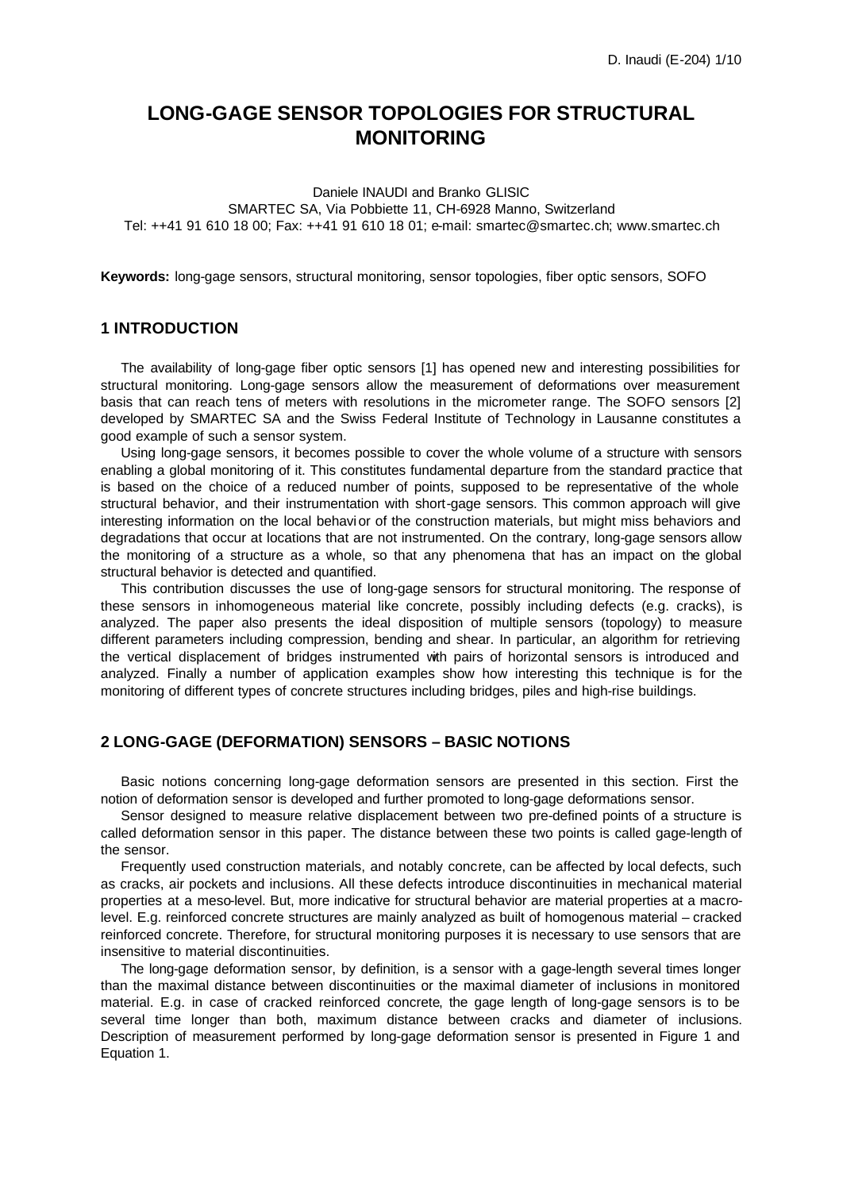# **LONG-GAGE SENSOR TOPOLOGIES FOR STRUCTURAL MONITORING**

Daniele INAUDI and Branko GLISIC SMARTEC SA, Via Pobbiette 11, CH-6928 Manno, Switzerland Tel: ++41 91 610 18 00; Fax: ++41 91 610 18 01; e-mail: smartec@smartec.ch; www.smartec.ch

**Keywords:** long-gage sensors, structural monitoring, sensor topologies, fiber optic sensors, SOFO

### **1 INTRODUCTION**

The availability of long-gage fiber optic sensors [1] has opened new and interesting possibilities for structural monitoring. Long-gage sensors allow the measurement of deformations over measurement basis that can reach tens of meters with resolutions in the micrometer range. The SOFO sensors [2] developed by SMARTEC SA and the Swiss Federal Institute of Technology in Lausanne constitutes a good example of such a sensor system.

Using long-gage sensors, it becomes possible to cover the whole volume of a structure with sensors enabling a global monitoring of it. This constitutes fundamental departure from the standard practice that is based on the choice of a reduced number of points, supposed to be representative of the whole structural behavior, and their instrumentation with short-gage sensors. This common approach will give interesting information on the local behavior of the construction materials, but might miss behaviors and degradations that occur at locations that are not instrumented. On the contrary, long-gage sensors allow the monitoring of a structure as a whole, so that any phenomena that has an impact on the global structural behavior is detected and quantified.

This contribution discusses the use of long-gage sensors for structural monitoring. The response of these sensors in inhomogeneous material like concrete, possibly including defects (e.g. cracks), is analyzed. The paper also presents the ideal disposition of multiple sensors (topology) to measure different parameters including compression, bending and shear. In particular, an algorithm for retrieving the vertical displacement of bridges instrumented with pairs of horizontal sensors is introduced and analyzed. Finally a number of application examples show how interesting this technique is for the monitoring of different types of concrete structures including bridges, piles and high-rise buildings.

# **2 LONG-GAGE (DEFORMATION) SENSORS – BASIC NOTIONS**

Basic notions concerning long-gage deformation sensors are presented in this section. First the notion of deformation sensor is developed and further promoted to long-gage deformations sensor.

Sensor designed to measure relative displacement between two pre-defined points of a structure is called deformation sensor in this paper. The distance between these two points is called gage-length of the sensor.

Frequently used construction materials, and notably concrete, can be affected by local defects, such as cracks, air pockets and inclusions. All these defects introduce discontinuities in mechanical material properties at a meso-level. But, more indicative for structural behavior are material properties at a macrolevel. E.g. reinforced concrete structures are mainly analyzed as built of homogenous material – cracked reinforced concrete. Therefore, for structural monitoring purposes it is necessary to use sensors that are insensitive to material discontinuities.

The long-gage deformation sensor, by definition, is a sensor with a gage-length several times longer than the maximal distance between discontinuities or the maximal diameter of inclusions in monitored material. E.g. in case of cracked reinforced concrete, the gage length of long-gage sensors is to be several time longer than both, maximum distance between cracks and diameter of inclusions. Description of measurement performed by long-gage deformation sensor is presented in Figure 1 and Equation 1.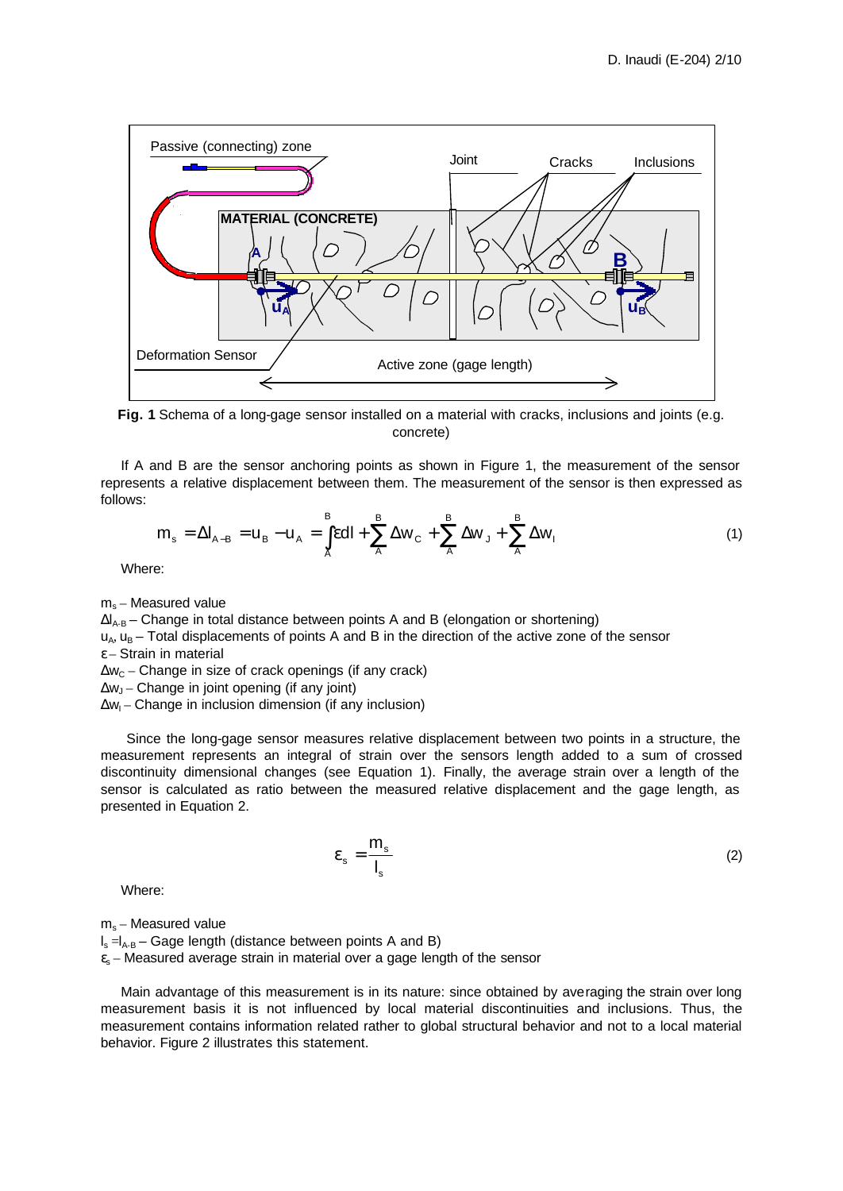

**Fig. 1** Schema of a long-gage sensor installed on a material with cracks, inclusions and joints (e.g. concrete)

If A and B are the sensor anchoring points as shown in Figure 1, the measurement of the sensor represents a relative displacement between them. The measurement of the sensor is then expressed as follows:

$$
m_s = \Delta I_{A-B} = u_B - u_A = \int_{A}^{B} \epsilon dl + \sum_{A}^{B} \Delta w_C + \sum_{A}^{B} \Delta w_J + \sum_{A}^{B} \Delta w_I
$$
 (1)

Where:

 $m_s$  – Measured value

 $\Delta I_{A-B}$  – Change in total distance between points A and B (elongation or shortening)

 $u<sub>A</sub>$ ,  $u<sub>B</sub>$  – Total displacements of points A and B in the direction of the active zone of the sensor  $\epsilon$  – Strain in material

 $\Delta w_C$  – Change in size of crack openings (if any crack)

Δw<sup>J</sup> – Change in joint opening (if any joint)

 $\Delta w_1$  – Change in inclusion dimension (if any inclusion)

 Since the long-gage sensor measures relative displacement between two points in a structure, the measurement represents an integral of strain over the sensors length added to a sum of crossed discontinuity dimensional changes (see Equation 1). Finally, the average strain over a length of the sensor is calculated as ratio between the measured relative displacement and the gage length, as presented in Equation 2.

> s s s l m  $\varepsilon_{\rm s} = \frac{m_{\rm s}}{l}$  (2)

Where:

 $m_s$  – Measured value

 $I_s = I_{A-B}$  – Gage length (distance between points A and B)

 $\varepsilon$ <sub>s</sub> – Measured average strain in material over a gage length of the sensor

Main advantage of this measurement is in its nature: since obtained by averaging the strain over long measurement basis it is not influenced by local material discontinuities and inclusions. Thus, the measurement contains information related rather to global structural behavior and not to a local material behavior. Figure 2 illustrates this statement.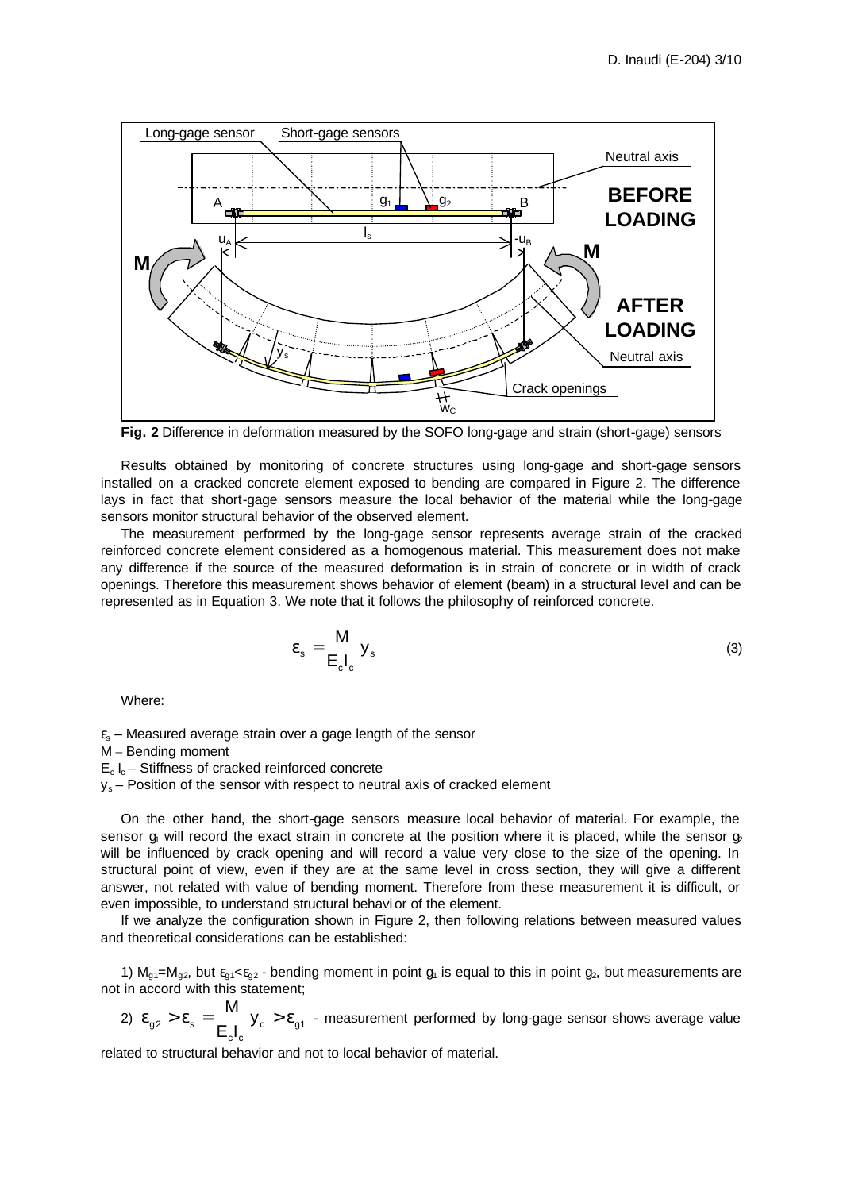

**Fig. 2** Difference in deformation measured by the SOFO long-gage and strain (short-gage) sensors

Results obtained by monitoring of concrete structures using long-gage and short-gage sensors installed on a cracked concrete element exposed to bending are compared in Figure 2. The difference lays in fact that short-gage sensors measure the local behavior of the material while the long-gage sensors monitor structural behavior of the observed element.

The measurement performed by the long-gage sensor represents average strain of the cracked reinforced concrete element considered as a homogenous material. This measurement does not make any difference if the source of the measured deformation is in strain of concrete or in width of crack openings. Therefore this measurement shows behavior of element (beam) in a structural level and can be represented as in Equation 3. We note that it follows the philosophy of reinforced concrete.

$$
\varepsilon_{s} = \frac{M}{E_{c}I_{c}} y_{s}
$$
 (3)

Where:

 $\varepsilon$ <sub>s</sub> – Measured average strain over a gage length of the sensor

M – Bending moment

 $E_c I_c - Stiffness$  of cracked reinforced concrete

 $v_s$  – Position of the sensor with respect to neutral axis of cracked element

On the other hand, the short-gage sensors measure local behavior of material. For example, the sensor  $g_1$  will record the exact strain in concrete at the position where it is placed, while the sensor  $g_2$ will be influenced by crack opening and will record a value very close to the size of the opening. In structural point of view, even if they are at the same level in cross section, they will give a different answer, not related with value of bending moment. Therefore from these measurement it is difficult, or even impossible, to understand structural behavi or of the element.

If we analyze the configuration shown in Figure 2, then following relations between measured values and theoretical considerations can be established:

1)  $M_{q1}$ = $M_{q2}$ , but  $\varepsilon_{q1}$ < $\varepsilon_{q2}$  - bending moment in point  $g_1$  is equal to this in point  $g_2$ , but measurements are not in accord with this statement;

2)  $\varepsilon_{g2} > \varepsilon_{s} = \frac{m}{r-1} y_c > \varepsilon_{g1}$ c"c  $_{g2} > \varepsilon_{\rm s} = \frac{W}{E_{\rm c} I_{\rm c}} y$  $\epsilon_{0.2} > \epsilon_{\rm s} = \frac{M}{\epsilon_{\rm s} - M}$  y<sub>c</sub>  $> \epsilon_{0.1}$  - measurement performed by long-gage sensor shows average value

related to structural behavior and not to local behavior of material.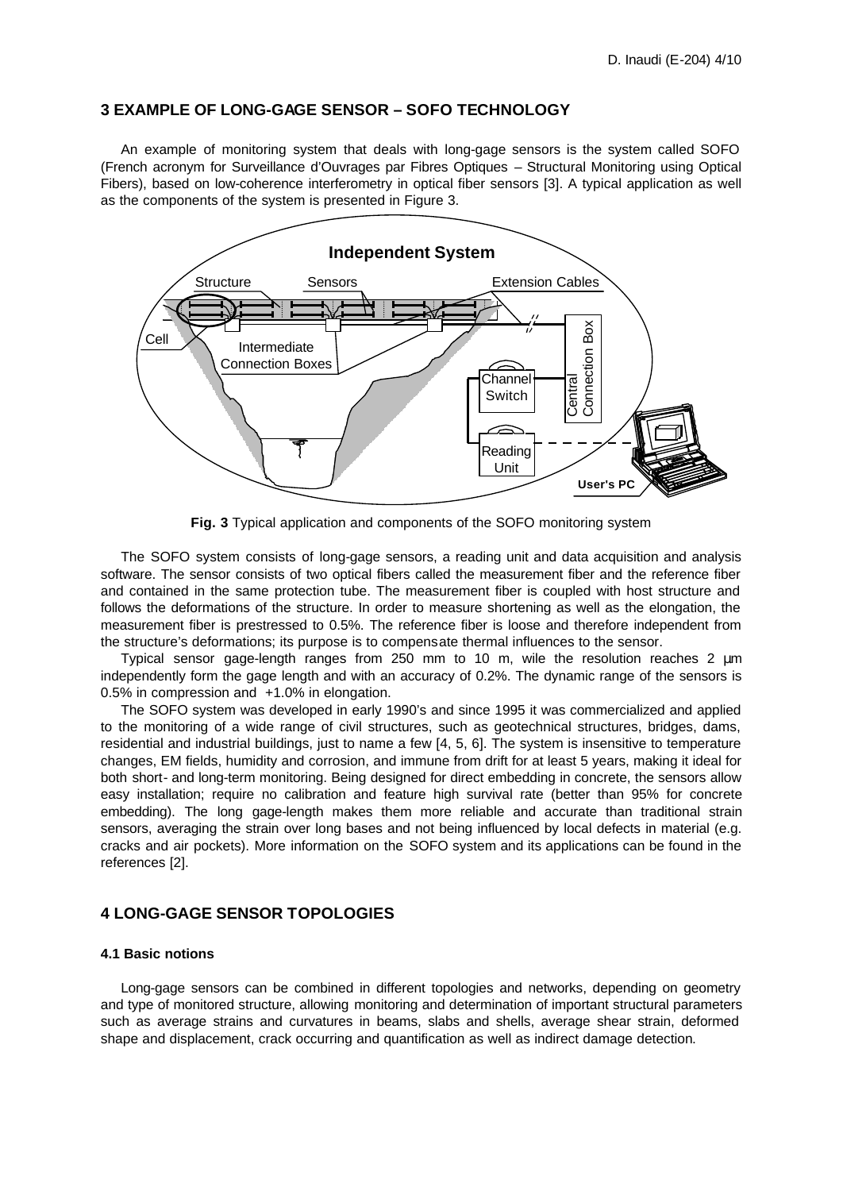# **3 EXAMPLE OF LONG-GAGE SENSOR – SOFO TECHNOLOGY**

An example of monitoring system that deals with long-gage sensors is the system called SOFO (French acronym for Surveillance d'Ouvrages par Fibres Optiques – Structural Monitoring using Optical Fibers), based on low-coherence interferometry in optical fiber sensors [3]. A typical application as well as the components of the system is presented in Figure 3.



**Fig. 3** Typical application and components of the SOFO monitoring system

The SOFO system consists of long-gage sensors, a reading unit and data acquisition and analysis software. The sensor consists of two optical fibers called the measurement fiber and the reference fiber and contained in the same protection tube. The measurement fiber is coupled with host structure and follows the deformations of the structure. In order to measure shortening as well as the elongation, the measurement fiber is prestressed to 0.5%. The reference fiber is loose and therefore independent from the structure's deformations; its purpose is to compensate thermal influences to the sensor.

Typical sensor gage-length ranges from 250 mm to 10 m, wile the resolution reaches 2 μm independently form the gage length and with an accuracy of 0.2%. The dynamic range of the sensors is 0.5% in compression and +1.0% in elongation.

The SOFO system was developed in early 1990's and since 1995 it was commercialized and applied to the monitoring of a wide range of civil structures, such as geotechnical structures, bridges, dams, residential and industrial buildings, just to name a few [4, 5, 6]. The system is insensitive to temperature changes, EM fields, humidity and corrosion, and immune from drift for at least 5 years, making it ideal for both short- and long-term monitoring. Being designed for direct embedding in concrete, the sensors allow easy installation; require no calibration and feature high survival rate (better than 95% for concrete embedding). The long gage-length makes them more reliable and accurate than traditional strain sensors, averaging the strain over long bases and not being influenced by local defects in material (e.g. cracks and air pockets). More information on the SOFO system and its applications can be found in the references [2].

# **4 LONG-GAGE SENSOR TOPOLOGIES**

#### **4.1 Basic notions**

Long-gage sensors can be combined in different topologies and networks, depending on geometry and type of monitored structure, allowing monitoring and determination of important structural parameters such as average strains and curvatures in beams, slabs and shells, average shear strain, deformed shape and displacement, crack occurring and quantification as well as indirect damage detection.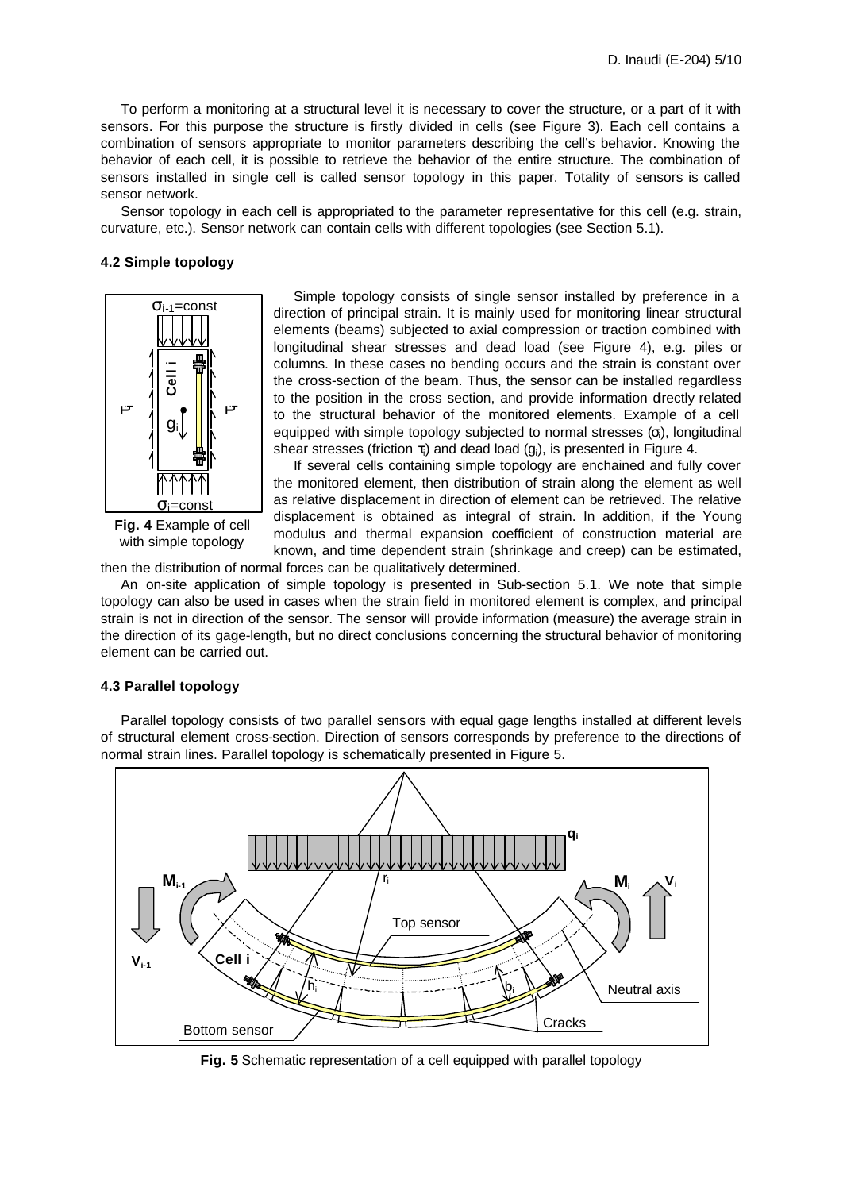To perform a monitoring at a structural level it is necessary to cover the structure, or a part of it with sensors. For this purpose the structure is firstly divided in cells (see Figure 3). Each cell contains a combination of sensors appropriate to monitor parameters describing the cell's behavior. Knowing the behavior of each cell, it is possible to retrieve the behavior of the entire structure. The combination of sensors installed in single cell is called sensor topology in this paper. Totality of sensors is called sensor network.

Sensor topology in each cell is appropriated to the parameter representative for this cell (e.g. strain, curvature, etc.). Sensor network can contain cells with different topologies (see Section 5.1).

### **4.2 Simple topology**



**Fig. 4** Example of cell with simple topology

Simple topology consists of single sensor installed by preference in a direction of principal strain. It is mainly used for monitoring linear structural elements (beams) subjected to axial compression or traction combined with longitudinal shear stresses and dead load (see Figure 4), e.g. piles or columns. In these cases no bending occurs and the strain is constant over the cross-section of the beam. Thus, the sensor can be installed regardless to the position in the cross section, and provide information directly related to the structural behavior of the monitored elements. Example of a cell equipped with simple topology subjected to normal stresses  $(\sigma_i)$ , longitudinal shear stresses (friction  $\tau_i$ ) and dead load (g;), is presented in Figure 4.

If several cells containing simple topology are enchained and fully cover the monitored element, then distribution of strain along the element as well as relative displacement in direction of element can be retrieved. The relative displacement is obtained as integral of strain. In addition, if the Young modulus and thermal expansion coefficient of construction material are known, and time dependent strain (shrinkage and creep) can be estimated,

then the distribution of normal forces can be qualitatively determined.

An on-site application of simple topology is presented in Sub-section 5.1. We note that simple topology can also be used in cases when the strain field in monitored element is complex, and principal strain is not in direction of the sensor. The sensor will provide information (measure) the average strain in the direction of its gage-length, but no direct conclusions concerning the structural behavior of monitoring element can be carried out.

### **4.3 Parallel topology**

Parallel topology consists of two parallel sensors with equal gage lengths installed at different levels of structural element cross-section. Direction of sensors corresponds by preference to the directions of normal strain lines. Parallel topology is schematically presented in Figure 5.



**Fig. 5** Schematic representation of a cell equipped with parallel topology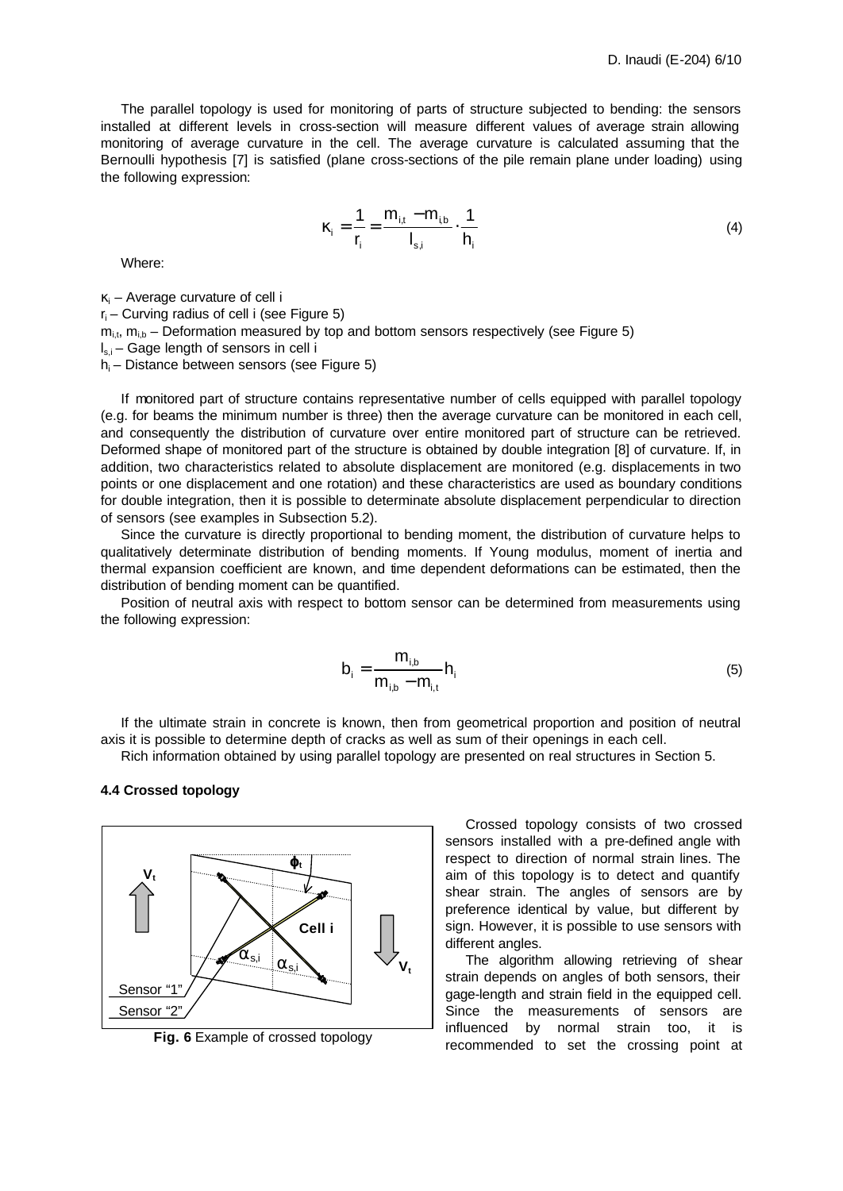The parallel topology is used for monitoring of parts of structure subjected to bending: the sensors installed at different levels in cross-section will measure different values of average strain allowing monitoring of average curvature in the cell. The average curvature is calculated assuming that the Bernoulli hypothesis [7] is satisfied (plane cross-sections of the pile remain plane under loading) using the following expression:

$$
\kappa_{i} = \frac{1}{r_{i}} = \frac{m_{i,t} - m_{i,b}}{I_{s,i}} \cdot \frac{1}{h_{i}}
$$
 (4)

Where:

 $\kappa_i$  – Average curvature of cell i

 $r_i$  – Curving radius of cell i (see Figure 5)

 $m_{i,t}$ ,  $m_{i,b}$  – Deformation measured by top and bottom sensors respectively (see Figure 5)

 $I_{s,i}$  – Gage length of sensors in cell i

 $h_i$  – Distance between sensors (see Figure 5)

If monitored part of structure contains representative number of cells equipped with parallel topology (e.g. for beams the minimum number is three) then the average curvature can be monitored in each cell, and consequently the distribution of curvature over entire monitored part of structure can be retrieved. Deformed shape of monitored part of the structure is obtained by double integration [8] of curvature. If, in addition, two characteristics related to absolute displacement are monitored (e.g. displacements in two points or one displacement and one rotation) and these characteristics are used as boundary conditions for double integration, then it is possible to determinate absolute displacement perpendicular to direction of sensors (see examples in Subsection 5.2).

Since the curvature is directly proportional to bending moment, the distribution of curvature helps to qualitatively determinate distribution of bending moments. If Young modulus, moment of inertia and thermal expansion coefficient are known, and time dependent deformations can be estimated, then the distribution of bending moment can be quantified.

Position of neutral axis with respect to bottom sensor can be determined from measurements using the following expression:

$$
b_{i} = \frac{m_{i,b}}{m_{i,b} - m_{i,t}} h_{i}
$$
 (5)

If the ultimate strain in concrete is known, then from geometrical proportion and position of neutral axis it is possible to determine depth of cracks as well as sum of their openings in each cell.

Rich information obtained by using parallel topology are presented on real structures in Section 5.

#### **4.4 Crossed topology**



**Fig. 6** Example of crossed topology

Crossed topology consists of two crossed sensors installed with a pre-defined angle with respect to direction of normal strain lines. The aim of this topology is to detect and quantify shear strain. The angles of sensors are by preference identical by value, but different by sign. However, it is possible to use sensors with different angles.

The algorithm allowing retrieving of shear strain depends on angles of both sensors, their gage-length and strain field in the equipped cell. Since the measurements of sensors are influenced by normal strain too, it is recommended to set the crossing point at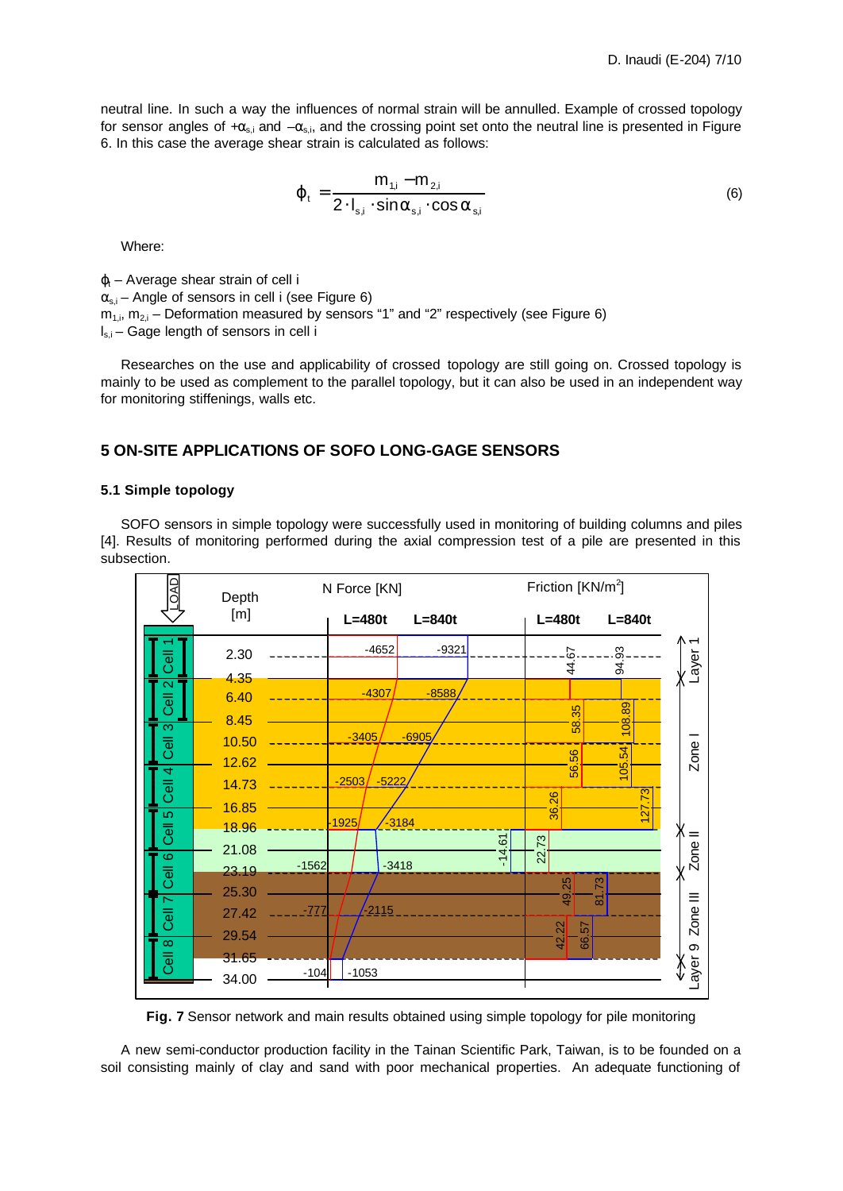neutral line. In such a way the influences of normal strain will be annulled. Example of crossed topology for sensor angles of + $\alpha_{s,i}$  and  $-\alpha_{s,i}$ , and the crossing point set onto the neutral line is presented in Figure 6. In this case the average shear strain is calculated as follows:

$$
\varphi_t = \frac{m_{1,i} - m_{2,i}}{2 \cdot l_{s,i} \cdot \sin \alpha_{s,i} \cdot \cos \alpha_{s,i}}
$$
(6)

Where:

 $\varphi_t$  – Average shear strain of cell i  $\alpha_{s,i}$  – Angle of sensors in cell i (see Figure 6)  $m_{1,i}$ ,  $m_{2,i}$  – Deformation measured by sensors "1" and "2" respectively (see Figure 6)  $I_{s,i}$  – Gage length of sensors in cell i

Researches on the use and applicability of crossed topology are still going on. Crossed topology is mainly to be used as complement to the parallel topology, but it can also be used in an independent way for monitoring stiffenings, walls etc.

# **5 ON-SITE APPLICATIONS OF SOFO LONG-GAGE SENSORS**

### **5.1 Simple topology**

SOFO sensors in simple topology were successfully used in monitoring of building columns and piles [4]. Results of monitoring performed during the axial compression test of a pile are presented in this subsection.



**Fig. 7** Sensor network and main results obtained using simple topology for pile monitoring

A new semi-conductor production facility in the Tainan Scientific Park, Taiwan, is to be founded on a soil consisting mainly of clay and sand with poor mechanical properties. An adequate functioning of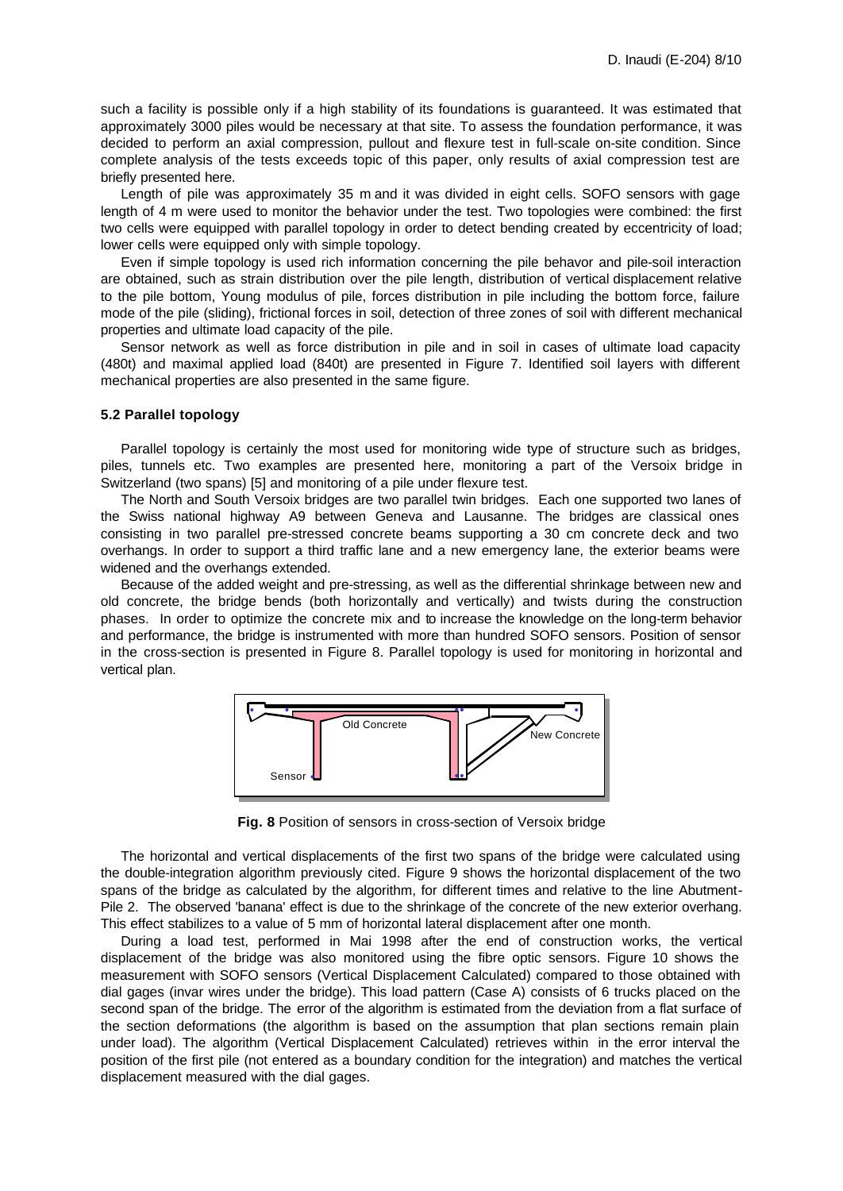such a facility is possible only if a high stability of its foundations is guaranteed. It was estimated that approximately 3000 piles would be necessary at that site. To assess the foundation performance, it was decided to perform an axial compression, pullout and flexure test in full-scale on-site condition. Since complete analysis of the tests exceeds topic of this paper, only results of axial compression test are briefly presented here.

Length of pile was approximately 35 m and it was divided in eight cells. SOFO sensors with gage length of 4 m were used to monitor the behavior under the test. Two topologies were combined: the first two cells were equipped with parallel topology in order to detect bending created by eccentricity of load; lower cells were equipped only with simple topology.

Even if simple topology is used rich information concerning the pile behavor and pile-soil interaction are obtained, such as strain distribution over the pile length, distribution of vertical displacement relative to the pile bottom, Young modulus of pile, forces distribution in pile including the bottom force, failure mode of the pile (sliding), frictional forces in soil, detection of three zones of soil with different mechanical properties and ultimate load capacity of the pile.

Sensor network as well as force distribution in pile and in soil in cases of ultimate load capacity (480t) and maximal applied load (840t) are presented in Figure 7. Identified soil layers with different mechanical properties are also presented in the same figure.

#### **5.2 Parallel topology**

Parallel topology is certainly the most used for monitoring wide type of structure such as bridges, piles, tunnels etc. Two examples are presented here, monitoring a part of the Versoix bridge in Switzerland (two spans) [5] and monitoring of a pile under flexure test.

The North and South Versoix bridges are two parallel twin bridges. Each one supported two lanes of the Swiss national highway A9 between Geneva and Lausanne. The bridges are classical ones consisting in two parallel pre-stressed concrete beams supporting a 30 cm concrete deck and two overhangs. In order to support a third traffic lane and a new emergency lane, the exterior beams were widened and the overhangs extended.

Because of the added weight and pre-stressing, as well as the differential shrinkage between new and old concrete, the bridge bends (both horizontally and vertically) and twists during the construction phases. In order to optimize the concrete mix and to increase the knowledge on the long-term behavior and performance, the bridge is instrumented with more than hundred SOFO sensors. Position of sensor in the cross-section is presented in Figure 8. Parallel topology is used for monitoring in horizontal and vertical plan.



**Fig. 8** Position of sensors in cross-section of Versoix bridge

The horizontal and vertical displacements of the first two spans of the bridge were calculated using the double-integration algorithm previously cited. Figure 9 shows the horizontal displacement of the two spans of the bridge as calculated by the algorithm, for different times and relative to the line Abutment-Pile 2. The observed 'banana' effect is due to the shrinkage of the concrete of the new exterior overhang. This effect stabilizes to a value of 5 mm of horizontal lateral displacement after one month.

During a load test, performed in Mai 1998 after the end of construction works, the vertical displacement of the bridge was also monitored using the fibre optic sensors. Figure 10 shows the measurement with SOFO sensors (Vertical Displacement Calculated) compared to those obtained with dial gages (invar wires under the bridge). This load pattern (Case A) consists of 6 trucks placed on the second span of the bridge. The error of the algorithm is estimated from the deviation from a flat surface of the section deformations (the algorithm is based on the assumption that plan sections remain plain under load). The algorithm (Vertical Displacement Calculated) retrieves within in the error interval the position of the first pile (not entered as a boundary condition for the integration) and matches the vertical displacement measured with the dial gages.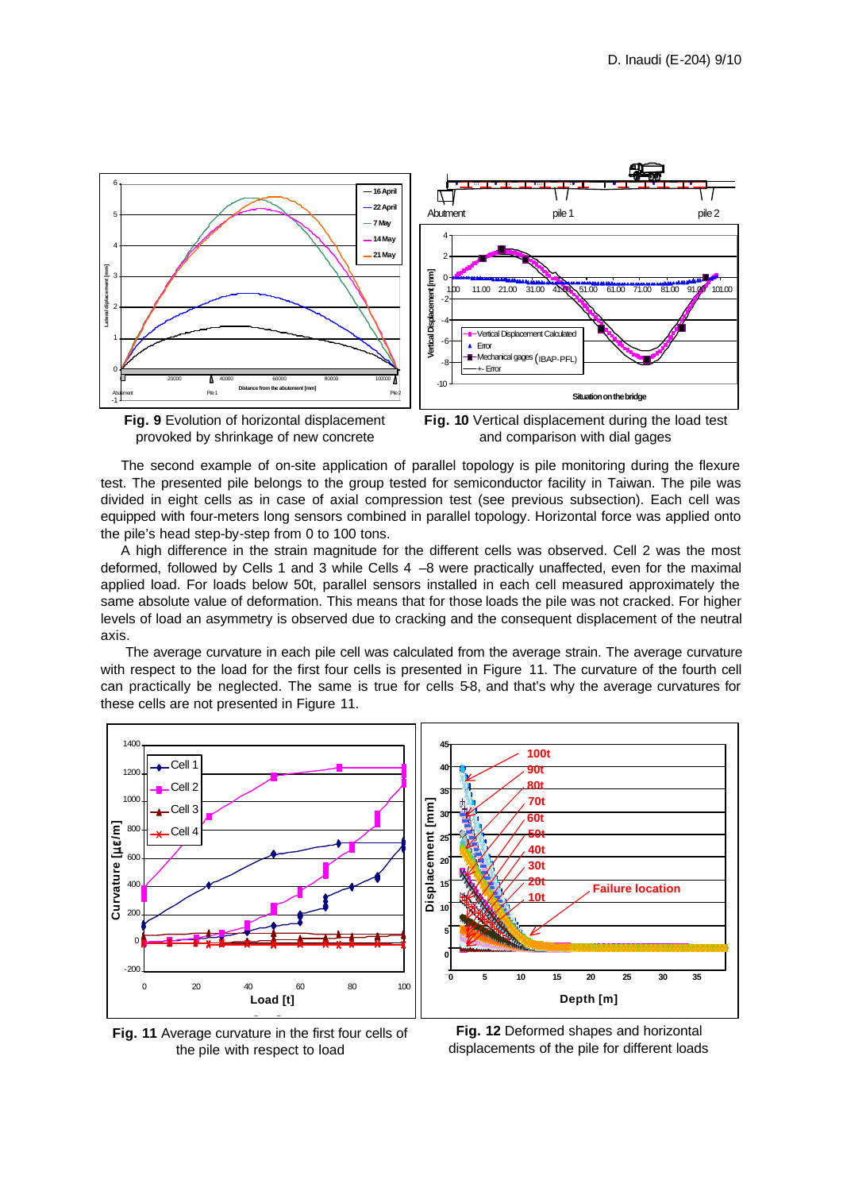





The second example of on-site application of parallel topology is pile monitoring during the flexure test. The presented pile belongs to the group tested for semiconductor facility in Taiwan. The pile was divided in eight cells as in case of axial compression test (see previous subsection). Each cell was equipped with four-meters long sensors combined in parallel topology. Horizontal force was applied onto the pile's head step-by-step from 0 to 100 tons.

A high difference in the strain magnitude for the different cells was observed. Cell 2 was the most deformed, followed by Cells 1 and 3 while Cells 4 –8 were practically unaffected, even for the maximal applied load. For loads below 50t, parallel sensors installed in each cell measured approximately the same absolute value of deformation. This means that for those loads the pile was not cracked. For higher levels of load an asymmetry is observed due to cracking and the consequent displacement of the neutral axis.

 The average curvature in each pile cell was calculated from the average strain. The average curvature with respect to the load for the first four cells is presented in Figure 11. The curvature of the fourth cell can practically be neglected. The same is true for cells 5-8, and that's why the average curvatures for these cells are not presented in Figure 11.



**Fig. 11** Average curvature in the first four cells of the pile with respect to load

**Fig. 12** Deformed shapes and horizontal displacements of the pile for different loads